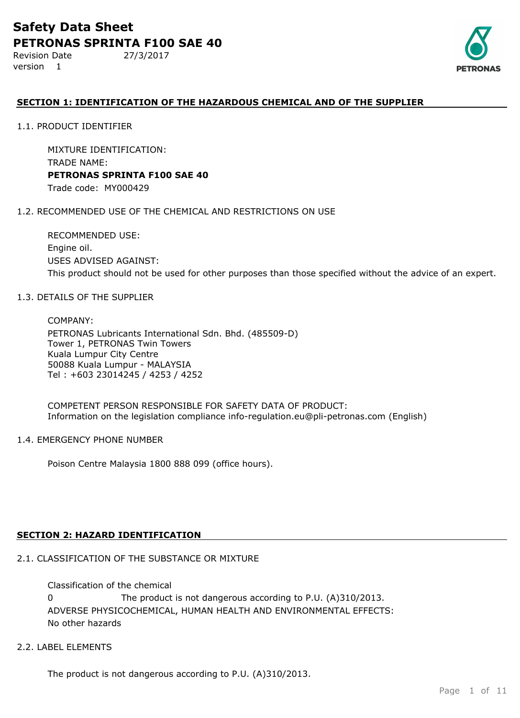Revision Date 27/3/2017 version 1



## **SECTION 1: IDENTIFICATION OF THE HAZARDOUS CHEMICAL AND OF THE SUPPLIER**

1.1. PRODUCT IDENTIFIER

MIXTURE IDENTIFICATION: TRADE NAME: **PETRONAS SPRINTA F100 SAE 40** Trade code: MY000429

#### 1.2. RECOMMENDED USE OF THE CHEMICAL AND RESTRICTIONS ON USE

RECOMMENDED USE: Engine oil. USES ADVISED AGAINST: This product should not be used for other purposes than those specified without the advice of an expert.

#### 1.3. DETAILS OF THE SUPPLIER

COMPANY: PETRONAS Lubricants International Sdn. Bhd. (485509-D) Tower 1, PETRONAS Twin Towers Kuala Lumpur City Centre 50088 Kuala Lumpur - MALAYSIA Tel : +603 23014245 / 4253 / 4252

COMPETENT PERSON RESPONSIBLE FOR SAFETY DATA OF PRODUCT: Information on the legislation compliance info-regulation.eu@pli-petronas.com (English)

#### 1.4. EMERGENCY PHONE NUMBER

Poison Centre Malaysia 1800 888 099 (office hours).

## **SECTION 2: HAZARD IDENTIFICATION**

## 2.1. CLASSIFICATION OF THE SUBSTANCE OR MIXTURE

ADVERSE PHYSICOCHEMICAL, HUMAN HEALTH AND ENVIRONMENTAL EFFECTS: No other hazards Classification of the chemical 0 The product is not dangerous according to P.U. (A)310/2013.

## 2.2. LABEL ELEMENTS

The product is not dangerous according to P.U. (A)310/2013.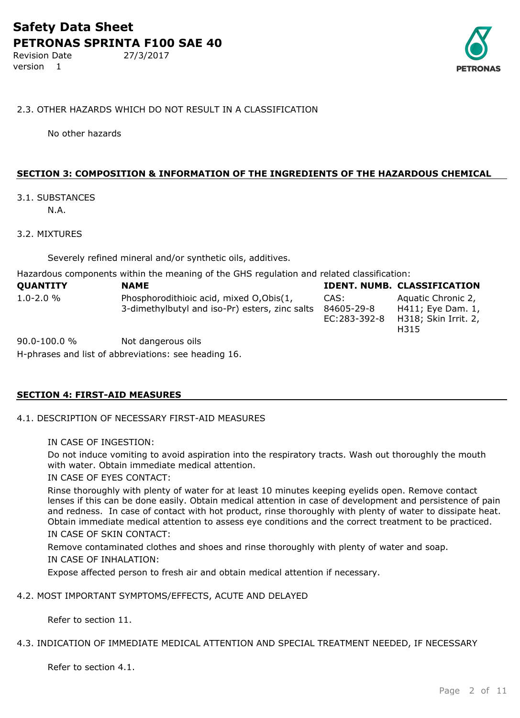version 1

#### 2.3. OTHER HAZARDS WHICH DO NOT RESULT IN A CLASSIFICATION

No other hazards

## **SECTION 3: COMPOSITION & INFORMATION OF THE INGREDIENTS OF THE HAZARDOUS CHEMICAL**

## 3.1. SUBSTANCES

N.A.

#### 3.2. MIXTURES

Severely refined mineral and/or synthetic oils, additives.

Hazardous components within the meaning of the GHS regulation and related classification:

| <b>QUANTITY</b> | <b>NAME</b>                                                                                |                                    | IDENT. NUMB. CLASSIFICATION                                             |
|-----------------|--------------------------------------------------------------------------------------------|------------------------------------|-------------------------------------------------------------------------|
| $1.0 - 2.0 %$   | Phosphorodithioic acid, mixed O, Obis(1,<br>3-dimethylbutyl and iso-Pr) esters, zinc salts | CAS:<br>84605-29-8<br>EC:283-392-8 | Aquatic Chronic 2,<br>H411; Eye Dam. 1,<br>H318; Skin Irrit. 2,<br>H315 |

H-phrases and list of abbreviations: see heading 16. 90.0-100.0 % Not dangerous oils

## **SECTION 4: FIRST-AID MEASURES**

#### 4.1. DESCRIPTION OF NECESSARY FIRST-AID MEASURES

#### IN CASE OF INGESTION:

Do not induce vomiting to avoid aspiration into the respiratory tracts. Wash out thoroughly the mouth with water. Obtain immediate medical attention.

IN CASE OF EYES CONTACT:

Rinse thoroughly with plenty of water for at least 10 minutes keeping eyelids open. Remove contact lenses if this can be done easily. Obtain medical attention in case of development and persistence of pain and redness. In case of contact with hot product, rinse thoroughly with plenty of water to dissipate heat. Obtain immediate medical attention to assess eye conditions and the correct treatment to be practiced. IN CASE OF SKIN CONTACT:

Remove contaminated clothes and shoes and rinse thoroughly with plenty of water and soap.

#### IN CASE OF INHALATION:

Expose affected person to fresh air and obtain medical attention if necessary.

#### 4.2. MOST IMPORTANT SYMPTOMS/EFFECTS, ACUTE AND DELAYED

Refer to section 11.

#### 4.3. INDICATION OF IMMEDIATE MEDICAL ATTENTION AND SPECIAL TREATMENT NEEDED, IF NECESSARY

Refer to section 4.1.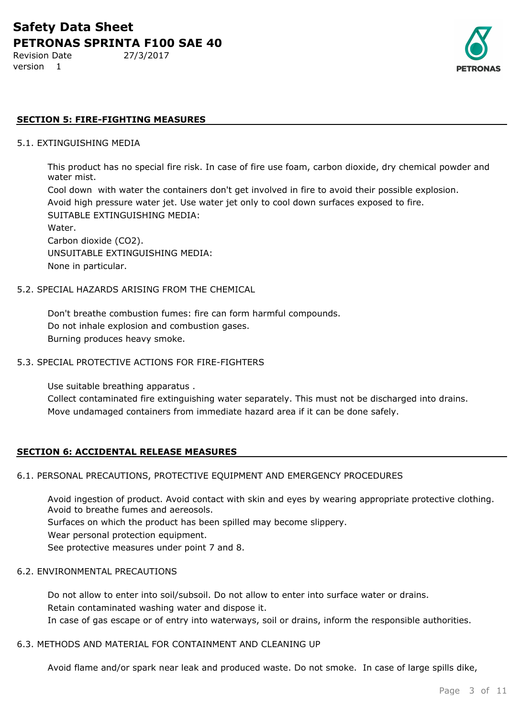Revision Date 27/3/2017 version 1



#### **SECTION 5: FIRE-FIGHTING MEASURES**

#### 5.1. EXTINGUISHING MEDIA

This product has no special fire risk. In case of fire use foam, carbon dioxide, dry chemical powder and water mist.

Cool down with water the containers don't get involved in fire to avoid their possible explosion. Avoid high pressure water jet. Use water jet only to cool down surfaces exposed to fire. SUITABLE EXTINGUISHING MEDIA: Water. Carbon dioxide (CO2). UNSUITABLE EXTINGUISHING MEDIA: None in particular.

#### 5.2. SPECIAL HAZARDS ARISING FROM THE CHEMICAL

Don't breathe combustion fumes: fire can form harmful compounds. Do not inhale explosion and combustion gases. Burning produces heavy smoke.

#### 5.3. SPECIAL PROTECTIVE ACTIONS FOR FIRE-FIGHTERS

Use suitable breathing apparatus .

Collect contaminated fire extinguishing water separately. This must not be discharged into drains. Move undamaged containers from immediate hazard area if it can be done safely.

#### **SECTION 6: ACCIDENTAL RELEASE MEASURES**

#### 6.1. PERSONAL PRECAUTIONS, PROTECTIVE EQUIPMENT AND EMERGENCY PROCEDURES

Avoid ingestion of product. Avoid contact with skin and eyes by wearing appropriate protective clothing. Avoid to breathe fumes and aereosols.

Surfaces on which the product has been spilled may become slippery.

Wear personal protection equipment.

See protective measures under point 7 and 8.

#### 6.2. ENVIRONMENTAL PRECAUTIONS

Do not allow to enter into soil/subsoil. Do not allow to enter into surface water or drains. Retain contaminated washing water and dispose it. In case of gas escape or of entry into waterways, soil or drains, inform the responsible authorities.

#### 6.3. METHODS AND MATERIAL FOR CONTAINMENT AND CLEANING UP

Avoid flame and/or spark near leak and produced waste. Do not smoke. In case of large spills dike,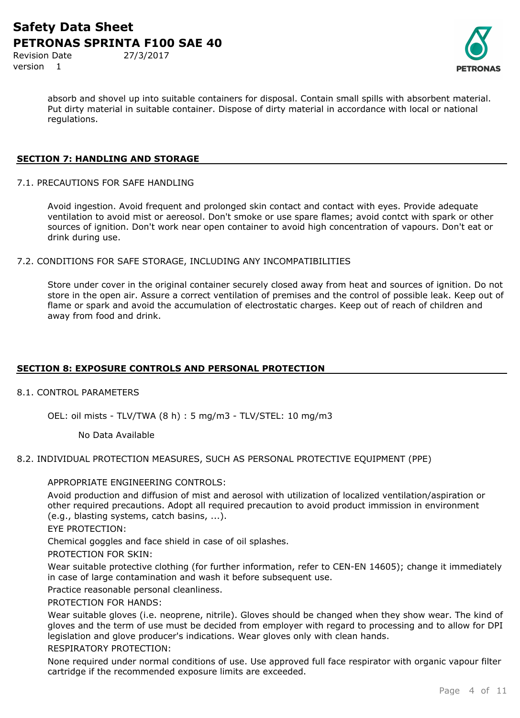Revision Date 27/3/2017 version 1

absorb and shovel up into suitable containers for disposal. Contain small spills with absorbent material. Put dirty material in suitable container. Dispose of dirty material in accordance with local or national regulations.

#### **SECTION 7: HANDLING AND STORAGE**

7.1. PRECAUTIONS FOR SAFE HANDLING

Avoid ingestion. Avoid frequent and prolonged skin contact and contact with eyes. Provide adequate ventilation to avoid mist or aereosol. Don't smoke or use spare flames; avoid contct with spark or other sources of ignition. Don't work near open container to avoid high concentration of vapours. Don't eat or drink during use.

7.2. CONDITIONS FOR SAFE STORAGE, INCLUDING ANY INCOMPATIBILITIES

Store under cover in the original container securely closed away from heat and sources of ignition. Do not store in the open air. Assure a correct ventilation of premises and the control of possible leak. Keep out of flame or spark and avoid the accumulation of electrostatic charges. Keep out of reach of children and away from food and drink.

## **SECTION 8: EXPOSURE CONTROLS AND PERSONAL PROTECTION**

8.1. CONTROL PARAMETERS

OEL: oil mists - TLV/TWA (8 h) : 5 mg/m3 - TLV/STEL: 10 mg/m3

No Data Available

#### 8.2. INDIVIDUAL PROTECTION MEASURES, SUCH AS PERSONAL PROTECTIVE EQUIPMENT (PPE)

#### APPROPRIATE ENGINEERING CONTROLS:

Avoid production and diffusion of mist and aerosol with utilization of localized ventilation/aspiration or other required precautions. Adopt all required precaution to avoid product immission in environment (e.g., blasting systems, catch basins, ...).

EYE PROTECTION:

Chemical goggles and face shield in case of oil splashes.

PROTECTION FOR SKIN:

Wear suitable protective clothing (for further information, refer to CEN-EN 14605); change it immediately in case of large contamination and wash it before subsequent use.

Practice reasonable personal cleanliness.

PROTECTION FOR HANDS:

Wear suitable gloves (i.e. neoprene, nitrile). Gloves should be changed when they show wear. The kind of gloves and the term of use must be decided from employer with regard to processing and to allow for DPI legislation and glove producer's indications. Wear gloves only with clean hands.

## RESPIRATORY PROTECTION:

None required under normal conditions of use. Use approved full face respirator with organic vapour filter cartridge if the recommended exposure limits are exceeded.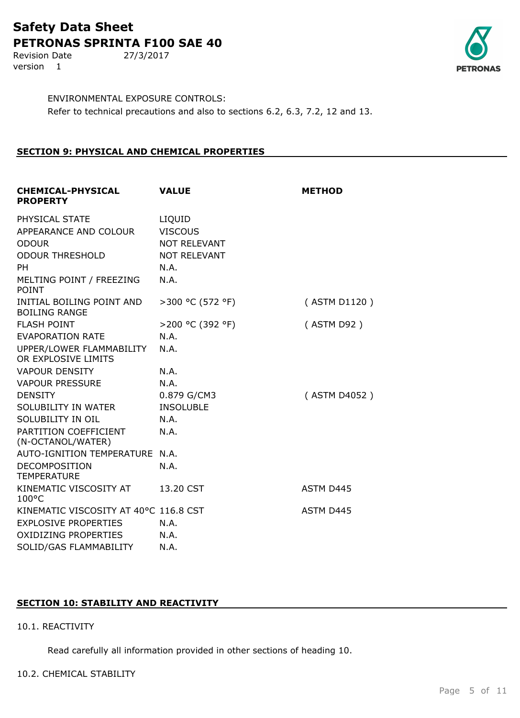Revision Date 27/3/2017 version 1



ENVIRONMENTAL EXPOSURE CONTROLS: Refer to technical precautions and also to sections 6.2, 6.3, 7.2, 12 and 13.

## **SECTION 9: PHYSICAL AND CHEMICAL PROPERTIES**

| <b>VALUE</b>                          | <b>METHOD</b> |
|---------------------------------------|---------------|
| LIQUID                                |               |
| <b>VISCOUS</b>                        |               |
| <b>NOT RELEVANT</b>                   |               |
| <b>NOT RELEVANT</b>                   |               |
| N.A.                                  |               |
| N.A.                                  |               |
| >300 °C (572 °F)                      | (ASTM D1120)  |
| >200 °C (392 °F)                      | (ASTM D92)    |
| N.A.                                  |               |
| N.A.                                  |               |
| N.A.                                  |               |
| N.A.                                  |               |
| 0.879 G/CM3                           | (ASTM D4052)  |
| <b>INSOLUBLE</b>                      |               |
| N.A.                                  |               |
| N.A.                                  |               |
| AUTO-IGNITION TEMPERATURE N.A.        |               |
| N.A.                                  |               |
| 13.20 CST                             | ASTM D445     |
| KINEMATIC VISCOSITY AT 40°C 116.8 CST | ASTM D445     |
| N.A.                                  |               |
| N.A.                                  |               |
| N.A.                                  |               |
|                                       |               |

## **SECTION 10: STABILITY AND REACTIVITY**

#### 10.1. REACTIVITY

Read carefully all information provided in other sections of heading 10.

#### 10.2. CHEMICAL STABILITY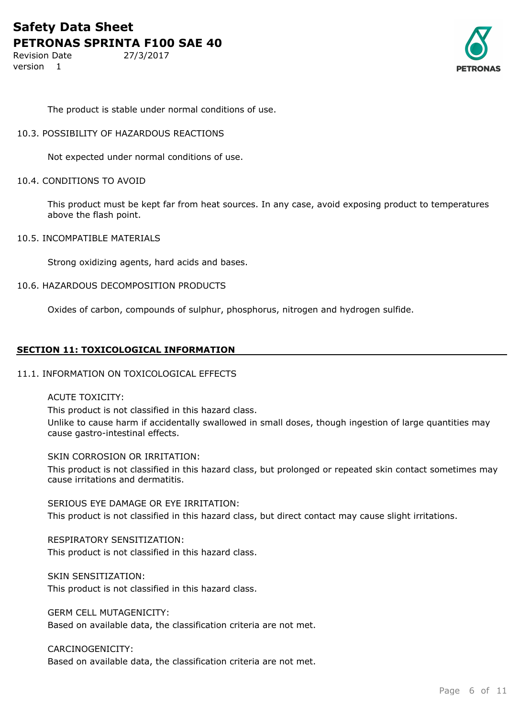Revision Date 27/3/2017 version 1



The product is stable under normal conditions of use.

#### 10.3. POSSIBILITY OF HAZARDOUS REACTIONS

Not expected under normal conditions of use.

#### 10.4. CONDITIONS TO AVOID

This product must be kept far from heat sources. In any case, avoid exposing product to temperatures above the flash point.

10.5. INCOMPATIBLE MATERIALS

Strong oxidizing agents, hard acids and bases.

#### 10.6. HAZARDOUS DECOMPOSITION PRODUCTS

Oxides of carbon, compounds of sulphur, phosphorus, nitrogen and hydrogen sulfide.

#### **SECTION 11: TOXICOLOGICAL INFORMATION**

#### 11.1. INFORMATION ON TOXICOLOGICAL EFFECTS

#### ACUTE TOXICITY:

This product is not classified in this hazard class.

Unlike to cause harm if accidentally swallowed in small doses, though ingestion of large quantities may cause gastro-intestinal effects.

#### SKIN CORROSION OR IRRITATION:

This product is not classified in this hazard class, but prolonged or repeated skin contact sometimes may cause irritations and dermatitis.

SERIOUS EYE DAMAGE OR EYE IRRITATION: This product is not classified in this hazard class, but direct contact may cause slight irritations.

## RESPIRATORY SENSITIZATION:

This product is not classified in this hazard class.

## SKIN SENSITIZATION:

This product is not classified in this hazard class.

GERM CELL MUTAGENICITY:

Based on available data, the classification criteria are not met.

### CARCINOGENICITY:

Based on available data, the classification criteria are not met.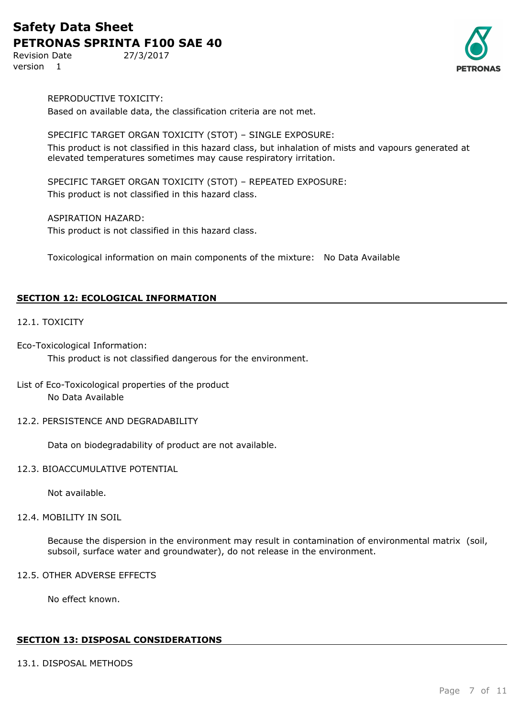Revision Date 27/3/2017 version 1



REPRODUCTIVE TOXICITY: Based on available data, the classification criteria are not met.

## SPECIFIC TARGET ORGAN TOXICITY (STOT) – SINGLE EXPOSURE:

This product is not classified in this hazard class, but inhalation of mists and vapours generated at elevated temperatures sometimes may cause respiratory irritation.

SPECIFIC TARGET ORGAN TOXICITY (STOT) – REPEATED EXPOSURE: This product is not classified in this hazard class.

ASPIRATION HAZARD:

This product is not classified in this hazard class.

Toxicological information on main components of the mixture: No Data Available

## **SECTION 12: ECOLOGICAL INFORMATION**

## 12.1. TOXICITY

Eco-Toxicological Information: This product is not classified dangerous for the environment.

## List of Eco-Toxicological properties of the product No Data Available

12.2. PERSISTENCE AND DEGRADABILITY

Data on biodegradability of product are not available.

#### 12.3. BIOACCUMULATIVE POTENTIAL

Not available.

#### 12.4. MOBILITY IN SOIL

Because the dispersion in the environment may result in contamination of environmental matrix (soil, subsoil, surface water and groundwater), do not release in the environment.

## 12.5. OTHER ADVERSE EFFECTS

No effect known.

## **SECTION 13: DISPOSAL CONSIDERATIONS**

## 13.1. DISPOSAL METHODS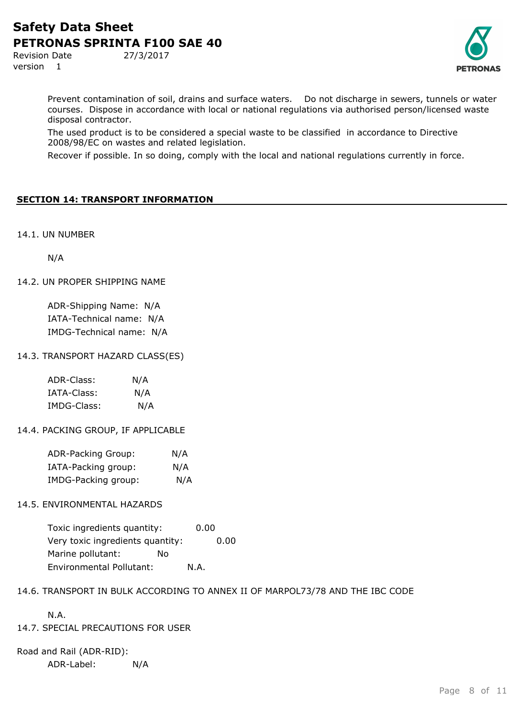Revision Date 27/3/2017 version 1



Prevent contamination of soil, drains and surface waters. Do not discharge in sewers, tunnels or water courses. Dispose in accordance with local or national regulations via authorised person/licensed waste disposal contractor.

The used product is to be considered a special waste to be classified in accordance to Directive 2008/98/EC on wastes and related legislation.

Recover if possible. In so doing, comply with the local and national regulations currently in force.

## **SECTION 14: TRANSPORT INFORMATION**

14.1. UN NUMBER

N/A

#### 14.2. UN PROPER SHIPPING NAME

ADR-Shipping Name: N/A IATA-Technical name: N/A IMDG-Technical name: N/A

#### 14.3. TRANSPORT HAZARD CLASS(ES)

| ADR-Class:  | N/A |
|-------------|-----|
| IATA-Class: | N/A |
| IMDG-Class: | N/A |

#### 14.4. PACKING GROUP, IF APPLICABLE

| ADR-Packing Group:  | N/A |
|---------------------|-----|
| IATA-Packing group: | N/A |
| IMDG-Packing group: | N/A |

#### 14.5. ENVIRONMENTAL HAZARDS

Toxic ingredients quantity: 0.00 Very toxic ingredients quantity: 0.00 Marine pollutant: No Environmental Pollutant: N.A.

#### 14.6. TRANSPORT IN BULK ACCORDING TO ANNEX II OF MARPOL73/78 AND THE IBC CODE

N.A.

#### 14.7. SPECIAL PRECAUTIONS FOR USER

Road and Rail (ADR-RID): ADR-Label: N/A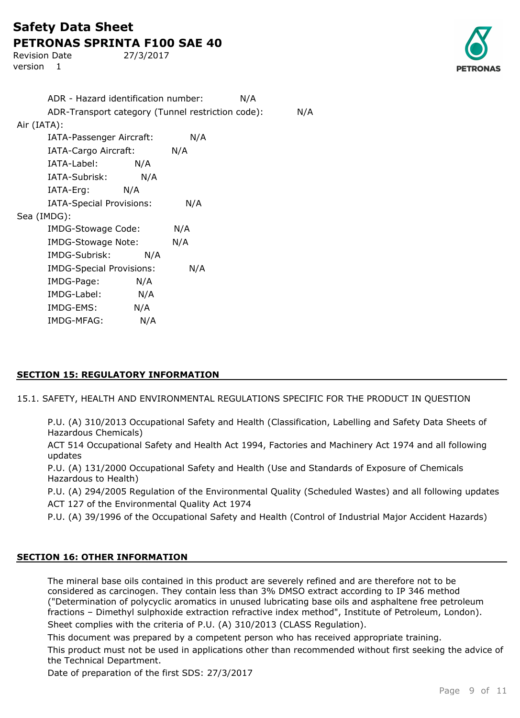Revision Date 27/3/2017 version 1



|             | ADR - Hazard identification number:               |     |     | N/A |     |
|-------------|---------------------------------------------------|-----|-----|-----|-----|
|             | ADR-Transport category (Tunnel restriction code): |     |     |     | N/A |
| Air (IATA): |                                                   |     |     |     |     |
|             | IATA-Passenger Aircraft:                          |     | N/A |     |     |
|             | IATA-Cargo Aircraft:                              |     | N/A |     |     |
|             | IATA-Label:                                       | N/A |     |     |     |
|             | IATA-Subrisk:                                     | N/A |     |     |     |
|             | IATA-Erg: N/A                                     |     |     |     |     |
|             | IATA-Special Provisions:                          |     | N/A |     |     |
| Sea (IMDG): |                                                   |     |     |     |     |
|             | IMDG-Stowage Code:                                |     | N/A |     |     |
|             | <b>IMDG-Stowage Note:</b>                         |     | N/A |     |     |
|             | IMDG-Subrisk:                                     | N/A |     |     |     |
|             | <b>IMDG-Special Provisions:</b>                   |     | N/A |     |     |
|             | IMDG-Page:                                        | N/A |     |     |     |
|             | IMDG-Label:                                       | N/A |     |     |     |
|             | IMDG-EMS:                                         | N/A |     |     |     |
|             | IMDG-MFAG:                                        | N/A |     |     |     |

## **SECTION 15: REGULATORY INFORMATION**

15.1. SAFETY, HEALTH AND ENVIRONMENTAL REGULATIONS SPECIFIC FOR THE PRODUCT IN QUESTION

P.U. (A) 310/2013 Occupational Safety and Health (Classification, Labelling and Safety Data Sheets of Hazardous Chemicals)

ACT 514 Occupational Safety and Health Act 1994, Factories and Machinery Act 1974 and all following updates

P.U. (A) 131/2000 Occupational Safety and Health (Use and Standards of Exposure of Chemicals Hazardous to Health)

P.U. (A) 294/2005 Regulation of the Environmental Quality (Scheduled Wastes) and all following updates ACT 127 of the Environmental Quality Act 1974

P.U. (A) 39/1996 of the Occupational Safety and Health (Control of Industrial Major Accident Hazards)

#### **SECTION 16: OTHER INFORMATION**

The mineral base oils contained in this product are severely refined and are therefore not to be considered as carcinogen. They contain less than 3% DMSO extract according to IP 346 method ("Determination of polycyclic aromatics in unused lubricating base oils and asphaltene free petroleum fractions – Dimethyl sulphoxide extraction refractive index method", Institute of Petroleum, London). Sheet complies with the criteria of P.U. (A) 310/2013 (CLASS Regulation).

This document was prepared by a competent person who has received appropriate training.

This product must not be used in applications other than recommended without first seeking the advice of the Technical Department.

Date of preparation of the first SDS: 27/3/2017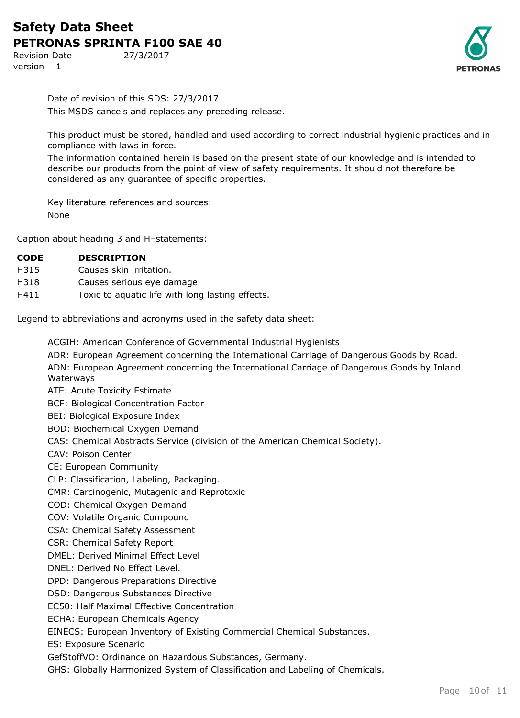Revision Date 27/3/2017 version 1



Date of revision of this SDS: 27/3/2017 This MSDS cancels and replaces any preceding release.

This product must be stored, handled and used according to correct industrial hygienic practices and in compliance with laws in force.

The information contained herein is based on the present state of our knowledge and is intended to describe our products from the point of view of safety requirements. It should not therefore be considered as any guarantee of specific properties.

Key literature references and sources: None

Caption about heading 3 and H–statements:

| <b>CODE</b> | <b>DESCRIPTION</b> |
|-------------|--------------------|
|             |                    |

- H315 Causes skin irritation.
- H318 Causes serious eye damage.
- H411 Toxic to aquatic life with long lasting effects.

Legend to abbreviations and acronyms used in the safety data sheet:

ACGIH: American Conference of Governmental Industrial Hygienists

- ADR: European Agreement concerning the International Carriage of Dangerous Goods by Road.
- ADN: European Agreement concerning the International Carriage of Dangerous Goods by Inland Waterways
- ATE: Acute Toxicity Estimate

BCF: Biological Concentration Factor

BEI: Biological Exposure Index

BOD: Biochemical Oxygen Demand

CAS: Chemical Abstracts Service (division of the American Chemical Society).

CAV: Poison Center

CE: European Community

CLP: Classification, Labeling, Packaging.

CMR: Carcinogenic, Mutagenic and Reprotoxic

- COD: Chemical Oxygen Demand
- COV: Volatile Organic Compound

CSA: Chemical Safety Assessment

CSR: Chemical Safety Report

DMEL: Derived Minimal Effect Level

DNEL: Derived No Effect Level.

DPD: Dangerous Preparations Directive

DSD: Dangerous Substances Directive

EC50: Half Maximal Effective Concentration

ECHA: European Chemicals Agency

EINECS: European Inventory of Existing Commercial Chemical Substances.

ES: Exposure Scenario

GefStoffVO: Ordinance on Hazardous Substances, Germany.

GHS: Globally Harmonized System of Classification and Labeling of Chemicals.